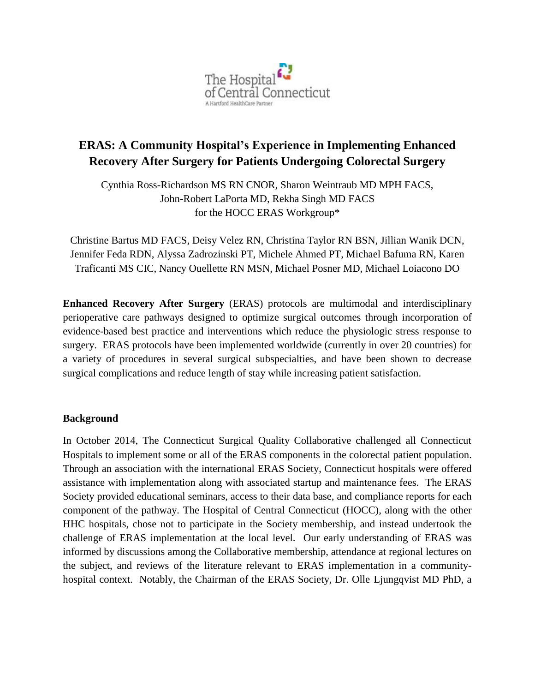

# **ERAS: A Community Hospital's Experience in Implementing Enhanced Recovery After Surgery for Patients Undergoing Colorectal Surgery**

Cynthia Ross-Richardson MS RN CNOR, Sharon Weintraub MD MPH FACS, John-Robert LaPorta MD, Rekha Singh MD FACS for the HOCC ERAS Workgroup\*

Christine Bartus MD FACS, Deisy Velez RN, Christina Taylor RN BSN, Jillian Wanik DCN, Jennifer Feda RDN, Alyssa Zadrozinski PT, Michele Ahmed PT, Michael Bafuma RN, Karen Traficanti MS CIC, Nancy Ouellette RN MSN, Michael Posner MD, Michael Loiacono DO

**Enhanced Recovery After Surgery** (ERAS) protocols are multimodal and interdisciplinary perioperative care pathways designed to optimize surgical outcomes through incorporation of evidence-based best practice and interventions which reduce the physiologic stress response to surgery. ERAS protocols have been implemented worldwide (currently in over 20 countries) for a variety of procedures in several surgical subspecialties, and have been shown to decrease surgical complications and reduce length of stay while increasing patient satisfaction.

#### **Background**

In October 2014, The Connecticut Surgical Quality Collaborative challenged all Connecticut Hospitals to implement some or all of the ERAS components in the colorectal patient population. Through an association with the international ERAS Society, Connecticut hospitals were offered assistance with implementation along with associated startup and maintenance fees. The ERAS Society provided educational seminars, access to their data base, and compliance reports for each component of the pathway. The Hospital of Central Connecticut (HOCC), along with the other HHC hospitals, chose not to participate in the Society membership, and instead undertook the challenge of ERAS implementation at the local level. Our early understanding of ERAS was informed by discussions among the Collaborative membership, attendance at regional lectures on the subject, and reviews of the literature relevant to ERAS implementation in a communityhospital context. Notably, the Chairman of the ERAS Society, Dr. Olle Ljungqvist MD PhD, a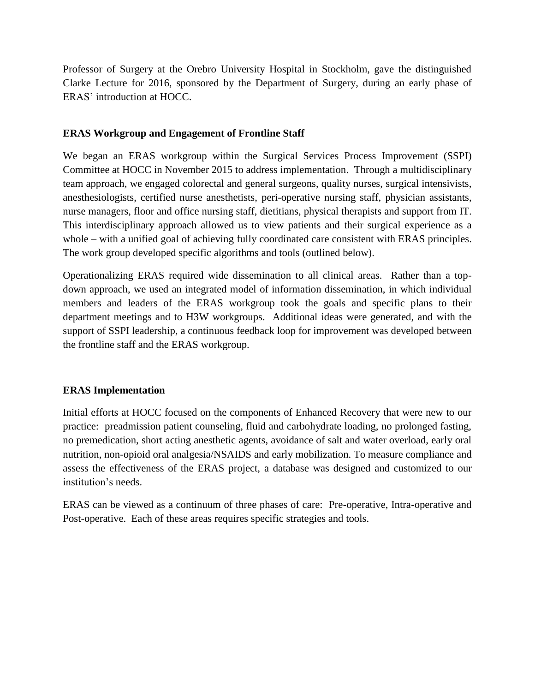Professor of Surgery at the Orebro University Hospital in Stockholm, gave the distinguished Clarke Lecture for 2016, sponsored by the Department of Surgery, during an early phase of ERAS' introduction at HOCC.

## **ERAS Workgroup and Engagement of Frontline Staff**

We began an ERAS workgroup within the Surgical Services Process Improvement (SSPI) Committee at HOCC in November 2015 to address implementation. Through a multidisciplinary team approach, we engaged colorectal and general surgeons, quality nurses, surgical intensivists, anesthesiologists, certified nurse anesthetists, peri-operative nursing staff, physician assistants, nurse managers, floor and office nursing staff, dietitians, physical therapists and support from IT. This interdisciplinary approach allowed us to view patients and their surgical experience as a whole – with a unified goal of achieving fully coordinated care consistent with ERAS principles. The work group developed specific algorithms and tools (outlined below).

Operationalizing ERAS required wide dissemination to all clinical areas. Rather than a topdown approach, we used an integrated model of information dissemination, in which individual members and leaders of the ERAS workgroup took the goals and specific plans to their department meetings and to H3W workgroups. Additional ideas were generated, and with the support of SSPI leadership, a continuous feedback loop for improvement was developed between the frontline staff and the ERAS workgroup.

## **ERAS Implementation**

Initial efforts at HOCC focused on the components of Enhanced Recovery that were new to our practice: preadmission patient counseling, fluid and carbohydrate loading, no prolonged fasting, no premedication, short acting anesthetic agents, avoidance of salt and water overload, early oral nutrition, non-opioid oral analgesia/NSAIDS and early mobilization. To measure compliance and assess the effectiveness of the ERAS project, a database was designed and customized to our institution's needs.

ERAS can be viewed as a continuum of three phases of care: Pre-operative, Intra-operative and Post-operative. Each of these areas requires specific strategies and tools.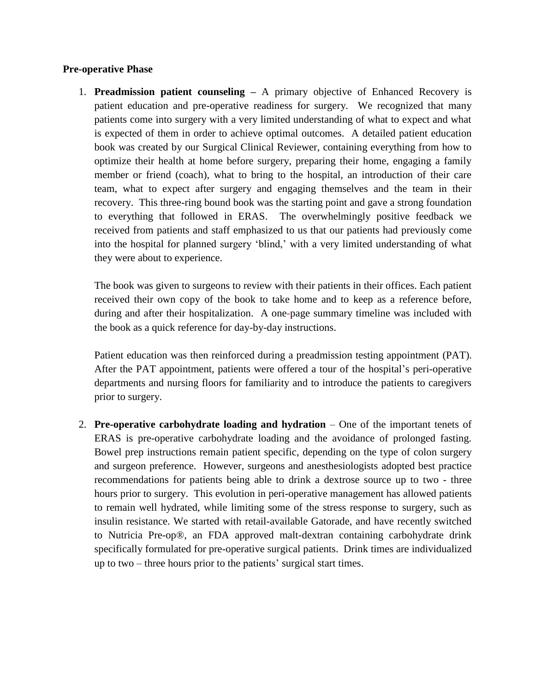#### **Pre-operative Phase**

1. **Preadmission patient counseling –** A primary objective of Enhanced Recovery is patient education and pre-operative readiness for surgery. We recognized that many patients come into surgery with a very limited understanding of what to expect and what is expected of them in order to achieve optimal outcomes. A detailed patient education book was created by our Surgical Clinical Reviewer, containing everything from how to optimize their health at home before surgery, preparing their home, engaging a family member or friend (coach), what to bring to the hospital, an introduction of their care team, what to expect after surgery and engaging themselves and the team in their recovery. This three-ring bound book was the starting point and gave a strong foundation to everything that followed in ERAS. The overwhelmingly positive feedback we received from patients and staff emphasized to us that our patients had previously come into the hospital for planned surgery 'blind,' with a very limited understanding of what they were about to experience.

The book was given to surgeons to review with their patients in their offices. Each patient received their own copy of the book to take home and to keep as a reference before, during and after their hospitalization. A one-page summary timeline was included with the book as a quick reference for day-by-day instructions.

Patient education was then reinforced during a preadmission testing appointment (PAT). After the PAT appointment, patients were offered a tour of the hospital's peri-operative departments and nursing floors for familiarity and to introduce the patients to caregivers prior to surgery.

2. **Pre-operative carbohydrate loading and hydration** – One of the important tenets of ERAS is pre-operative carbohydrate loading and the avoidance of prolonged fasting. Bowel prep instructions remain patient specific, depending on the type of colon surgery and surgeon preference. However, surgeons and anesthesiologists adopted best practice recommendations for patients being able to drink a dextrose source up to two - three hours prior to surgery. This evolution in peri-operative management has allowed patients to remain well hydrated, while limiting some of the stress response to surgery, such as insulin resistance. We started with retail-available Gatorade, and have recently switched to Nutricia Pre-op®, an FDA approved malt-dextran containing carbohydrate drink specifically formulated for pre-operative surgical patients. Drink times are individualized up to two – three hours prior to the patients' surgical start times.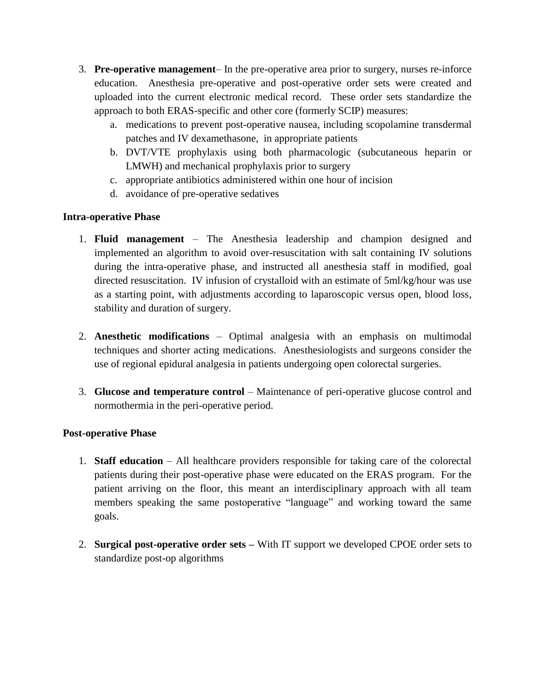- 3. **Pre-operative management** In the pre-operative area prior to surgery, nurses re-inforce education. Anesthesia pre-operative and post-operative order sets were created and uploaded into the current electronic medical record. These order sets standardize the approach to both ERAS-specific and other core (formerly SCIP) measures:
	- a. medications to prevent post-operative nausea, including scopolamine transdermal patches and IV dexamethasone, in appropriate patients
	- b. DVT/VTE prophylaxis using both pharmacologic (subcutaneous heparin or LMWH) and mechanical prophylaxis prior to surgery
	- c. appropriate antibiotics administered within one hour of incision
	- d. avoidance of pre-operative sedatives

## **Intra-operative Phase**

- 1. **Fluid management** The Anesthesia leadership and champion designed and implemented an algorithm to avoid over-resuscitation with salt containing IV solutions during the intra-operative phase, and instructed all anesthesia staff in modified, goal directed resuscitation. IV infusion of crystalloid with an estimate of 5ml/kg/hour was use as a starting point, with adjustments according to laparoscopic versus open, blood loss, stability and duration of surgery.
- 2. **Anesthetic modifications** Optimal analgesia with an emphasis on multimodal techniques and shorter acting medications. Anesthesiologists and surgeons consider the use of regional epidural analgesia in patients undergoing open colorectal surgeries.
- 3. **Glucose and temperature control** Maintenance of peri-operative glucose control and normothermia in the peri-operative period.

## **Post-operative Phase**

- 1. **Staff education** All healthcare providers responsible for taking care of the colorectal patients during their post-operative phase were educated on the ERAS program. For the patient arriving on the floor, this meant an interdisciplinary approach with all team members speaking the same postoperative "language" and working toward the same goals.
- 2. **Surgical post-operative order sets –** With IT support we developed CPOE order sets to standardize post-op algorithms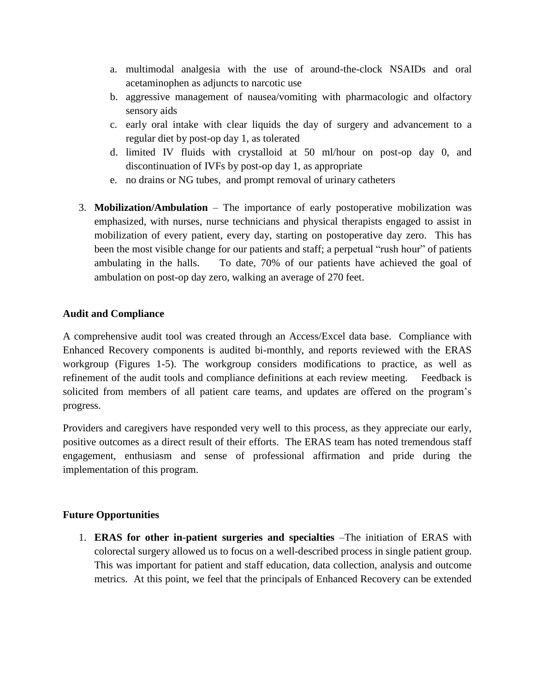- a. multimodal analgesia with the use of around-the-clock NSAIDs and oral acetaminophen as adjuncts to narcotic use
- b. aggressive management of nausea/vomiting with pharmacologic and olfactory sensory aids
- c. early oral intake with clear liquids the day of surgery and advancement to a regular diet by post-op day 1, as tolerated
- d. limited IV fluids with crystalloid at 50 ml/hour on post-op day 0, and discontinuation of IVFs by post-op day 1, as appropriate
- e. no drains or NG tubes, and prompt removal of urinary catheters
- 3. **Mobilization/Ambulation** The importance of early postoperative mobilization was emphasized, with nurses, nurse technicians and physical therapists engaged to assist in mobilization of every patient, every day, starting on postoperative day zero. This has been the most visible change for our patients and staff; a perpetual "rush hour" of patients ambulating in the halls. To date, 70% of our patients have achieved the goal of ambulation on post-op day zero, walking an average of 270 feet.

#### **Audit and Compliance**

A comprehensive audit tool was created through an Access/Excel data base. Compliance with Enhanced Recovery components is audited bi-monthly, and reports reviewed with the ERAS workgroup (Figures 1-5). The workgroup considers modifications to practice, as well as refinement of the audit tools and compliance definitions at each review meeting. Feedback is solicited from members of all patient care teams, and updates are offered on the program's progress.

Providers and caregivers have responded very well to this process, as they appreciate our early, positive outcomes as a direct result of their efforts. The ERAS team has noted tremendous staff engagement, enthusiasm and sense of professional affirmation and pride during the implementation of this program.

## **Future Opportunities**

1. **ERAS for other in-patient surgeries and specialties** –The initiation of ERAS with colorectal surgery allowed us to focus on a well-described process in single patient group. This was important for patient and staff education, data collection, analysis and outcome metrics. At this point, we feel that the principals of Enhanced Recovery can be extended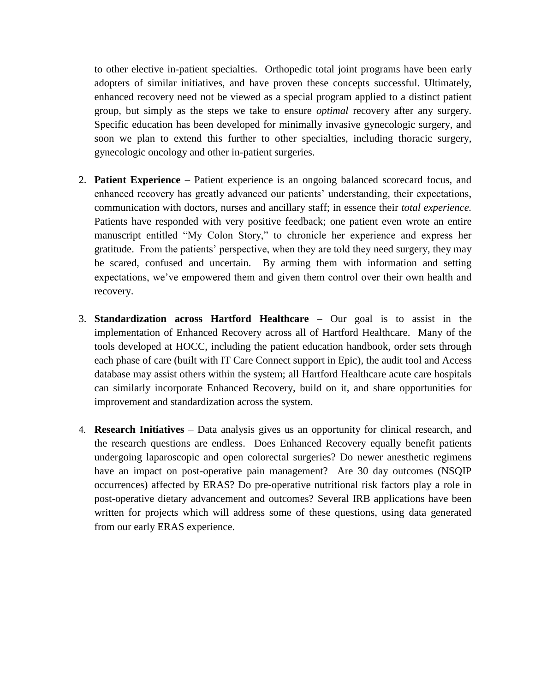to other elective in-patient specialties. Orthopedic total joint programs have been early adopters of similar initiatives, and have proven these concepts successful. Ultimately, enhanced recovery need not be viewed as a special program applied to a distinct patient group, but simply as the steps we take to ensure *optimal* recovery after any surgery. Specific education has been developed for minimally invasive gynecologic surgery, and soon we plan to extend this further to other specialties, including thoracic surgery, gynecologic oncology and other in-patient surgeries.

- 2. **Patient Experience** Patient experience is an ongoing balanced scorecard focus, and enhanced recovery has greatly advanced our patients' understanding, their expectations, communication with doctors, nurses and ancillary staff; in essence their *total experience.* Patients have responded with very positive feedback; one patient even wrote an entire manuscript entitled "My Colon Story," to chronicle her experience and express her gratitude. From the patients' perspective, when they are told they need surgery, they may be scared, confused and uncertain. By arming them with information and setting expectations, we've empowered them and given them control over their own health and recovery.
- 3. **Standardization across Hartford Healthcare** Our goal is to assist in the implementation of Enhanced Recovery across all of Hartford Healthcare. Many of the tools developed at HOCC, including the patient education handbook, order sets through each phase of care (built with IT Care Connect support in Epic), the audit tool and Access database may assist others within the system; all Hartford Healthcare acute care hospitals can similarly incorporate Enhanced Recovery, build on it, and share opportunities for improvement and standardization across the system.
- 4. **Research Initiatives** Data analysis gives us an opportunity for clinical research, and the research questions are endless. Does Enhanced Recovery equally benefit patients undergoing laparoscopic and open colorectal surgeries? Do newer anesthetic regimens have an impact on post-operative pain management? Are 30 day outcomes (NSQIP occurrences) affected by ERAS? Do pre-operative nutritional risk factors play a role in post-operative dietary advancement and outcomes? Several IRB applications have been written for projects which will address some of these questions, using data generated from our early ERAS experience.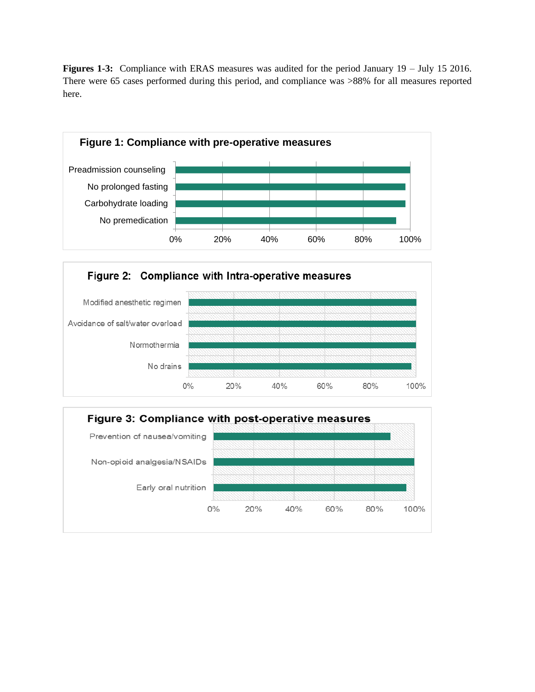Figures 1-3: Compliance with ERAS measures was audited for the period January 19 – July 15 2016. There were 65 cases performed during this period, and compliance was >88% for all measures reported here.





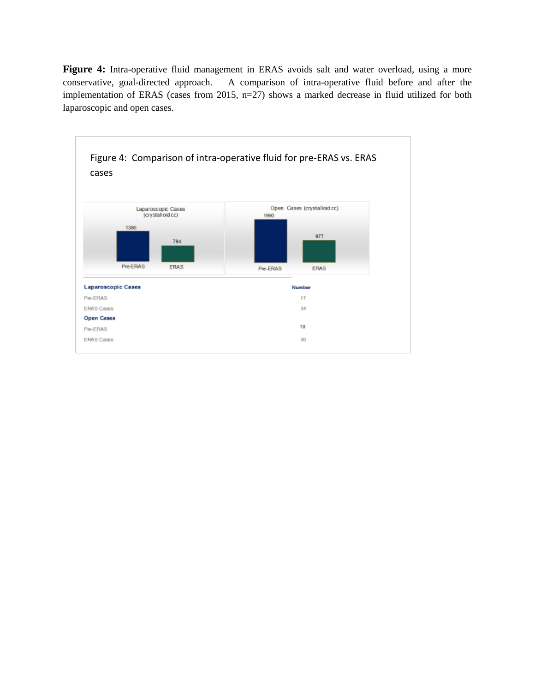Figure 4: Intra-operative fluid management in ERAS avoids salt and water overload, using a more conservative, goal-directed approach. A comparison of intra-operative fluid before and after the implementation of ERAS (cases from 2015, n=27) shows a marked decrease in fluid utilized for both laparoscopic and open cases.